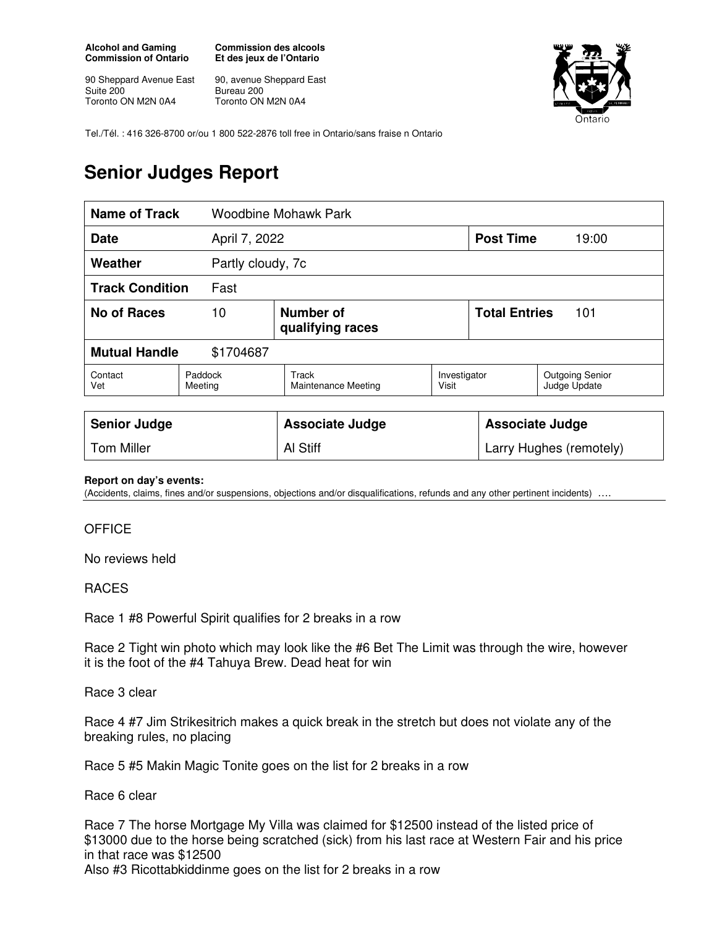**Alcohol and Gaming Commission of Ontario** 

90 Sheppard Avenue East Suite 200 Toronto ON M2N 0A4

**Commission des alcools Et des jeux de l'Ontario** 

90, avenue Sheppard East Bureau 200 Toronto ON M2N 0A4



Tel./Tél. : 416 326-8700 or/ou 1 800 522-2876 toll free in Ontario/sans fraise n Ontario

# **Senior Judges Report**

| <b>Name of Track</b>         |                    | <b>Woodbine Mohawk Park</b>   |                       |                             |                                        |  |
|------------------------------|--------------------|-------------------------------|-----------------------|-----------------------------|----------------------------------------|--|
| <b>Date</b><br>April 7, 2022 |                    |                               |                       | <b>Post Time</b>            | 19:00                                  |  |
| Weather<br>Partly cloudy, 7c |                    |                               |                       |                             |                                        |  |
| <b>Track Condition</b>       | Fast               |                               |                       |                             |                                        |  |
| <b>No of Races</b><br>10     |                    | Number of<br>qualifying races |                       | <b>Total Entries</b><br>101 |                                        |  |
| <b>Mutual Handle</b>         | \$1704687          |                               |                       |                             |                                        |  |
| Contact<br>Vet               | Paddock<br>Meeting | Track<br>Maintenance Meeting  | Investigator<br>Visit |                             | <b>Outgoing Senior</b><br>Judge Update |  |
| <b>Senior Judge</b>          |                    | <b>Associate Judge</b>        |                       |                             | <b>Associate Judge</b>                 |  |

#### **Report on day's events:**

(Accidents, claims, fines and/or suspensions, objections and/or disqualifications, refunds and any other pertinent incidents)

Tom Miller **All Stiff Larry Hughes (remotely) Larry Hughes (remotely)** 

### **OFFICE**

No reviews held

### RACES

Race 1 #8 Powerful Spirit qualifies for 2 breaks in a row

Race 2 Tight win photo which may look like the #6 Bet The Limit was through the wire, however it is the foot of the #4 Tahuya Brew. Dead heat for win

Race 3 clear

Race 4 #7 Jim Strikesitrich makes a quick break in the stretch but does not violate any of the breaking rules, no placing

Race 5 #5 Makin Magic Tonite goes on the list for 2 breaks in a row

Race 6 clear

Race 7 The horse Mortgage My Villa was claimed for \$12500 instead of the listed price of \$13000 due to the horse being scratched (sick) from his last race at Western Fair and his price in that race was \$12500 Also #3 Ricottabkiddinme goes on the list for 2 breaks in a row